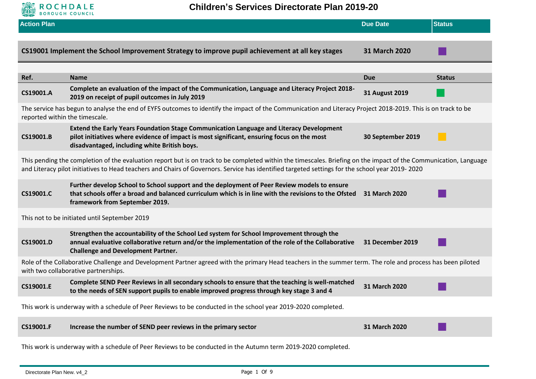

| <b>Action Plan</b>                                                                                                                                                                                  |                                                                                                                                                                                                                                                                                                                      | <b>Due Date</b>         | <b>Status</b> |
|-----------------------------------------------------------------------------------------------------------------------------------------------------------------------------------------------------|----------------------------------------------------------------------------------------------------------------------------------------------------------------------------------------------------------------------------------------------------------------------------------------------------------------------|-------------------------|---------------|
|                                                                                                                                                                                                     | CS19001 Implement the School Improvement Strategy to improve pupil achievement at all key stages                                                                                                                                                                                                                     | 31 March 2020           |               |
| Ref.                                                                                                                                                                                                | <b>Name</b>                                                                                                                                                                                                                                                                                                          | <b>Due</b>              | <b>Status</b> |
| CS19001.A                                                                                                                                                                                           | Complete an evaluation of the impact of the Communication, Language and Literacy Project 2018-<br>2019 on receipt of pupil outcomes in July 2019                                                                                                                                                                     | <b>31 August 2019</b>   |               |
|                                                                                                                                                                                                     | The service has begun to analyse the end of EYFS outcomes to identify the impact of the Communication and Literacy Project 2018-2019. This is on track to be<br>reported within the timescale.                                                                                                                       |                         |               |
| CS19001.B                                                                                                                                                                                           | Extend the Early Years Foundation Stage Communication Language and Literacy Development<br>pilot initiatives where evidence of impact is most significant, ensuring focus on the most<br>disadvantaged, including white British boys.                                                                                | 30 September 2019       |               |
|                                                                                                                                                                                                     | This pending the completion of the evaluation report but is on track to be completed within the timescales. Briefing on the impact of the Communication, Language<br>and Literacy pilot initiatives to Head teachers and Chairs of Governors. Service has identified targeted settings for the school year 2019-2020 |                         |               |
| CS19001.C                                                                                                                                                                                           | Further develop School to School support and the deployment of Peer Review models to ensure<br>that schools offer a broad and balanced curriculum which is in line with the revisions to the Ofsted<br>framework from September 2019.                                                                                | 31 March 2020           |               |
|                                                                                                                                                                                                     | This not to be initiated until September 2019                                                                                                                                                                                                                                                                        |                         |               |
| CS19001.D                                                                                                                                                                                           | Strengthen the accountability of the School Led system for School Improvement through the<br>annual evaluative collaborative return and/or the implementation of the role of the Collaborative<br><b>Challenge and Development Partner.</b>                                                                          | <b>31 December 2019</b> |               |
| Role of the Collaborative Challenge and Development Partner agreed with the primary Head teachers in the summer term. The role and process has been piloted<br>with two collaborative partnerships. |                                                                                                                                                                                                                                                                                                                      |                         |               |
| CS19001.E                                                                                                                                                                                           | Complete SEND Peer Reviews in all secondary schools to ensure that the teaching is well-matched<br>to the needs of SEN support pupils to enable improved progress through key stage 3 and 4                                                                                                                          | 31 March 2020           |               |
|                                                                                                                                                                                                     | This work is underway with a schedule of Peer Reviews to be conducted in the school year 2019-2020 completed.                                                                                                                                                                                                        |                         |               |
| CS19001.F                                                                                                                                                                                           | Increase the number of SEND peer reviews in the primary sector                                                                                                                                                                                                                                                       | 31 March 2020           |               |
|                                                                                                                                                                                                     | This work is underway with a schodule of Deer Peviews to be conducted in the Autumn term 2010 2020 completed                                                                                                                                                                                                         |                         |               |

This work is underway with a schedule of Peer Reviews to be conducted in the Autumn term 2019-2020 completed.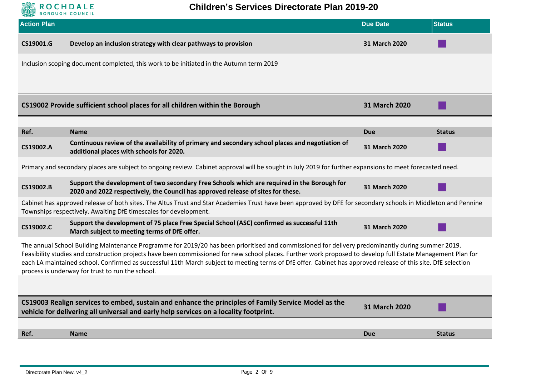

| <b>Action Plan</b>                                                                                                                                                                                                                                                                                                                                                                                                                                                                                                                     |                                                                                                                                                                                               | <b>Due Date</b>      | <b>Status</b> |
|----------------------------------------------------------------------------------------------------------------------------------------------------------------------------------------------------------------------------------------------------------------------------------------------------------------------------------------------------------------------------------------------------------------------------------------------------------------------------------------------------------------------------------------|-----------------------------------------------------------------------------------------------------------------------------------------------------------------------------------------------|----------------------|---------------|
| CS19001.G                                                                                                                                                                                                                                                                                                                                                                                                                                                                                                                              | Develop an inclusion strategy with clear pathways to provision                                                                                                                                | 31 March 2020        |               |
|                                                                                                                                                                                                                                                                                                                                                                                                                                                                                                                                        | Inclusion scoping document completed, this work to be initiated in the Autumn term 2019                                                                                                       |                      |               |
|                                                                                                                                                                                                                                                                                                                                                                                                                                                                                                                                        | CS19002 Provide sufficient school places for all children within the Borough                                                                                                                  | 31 March 2020        |               |
| Ref.                                                                                                                                                                                                                                                                                                                                                                                                                                                                                                                                   | <b>Name</b>                                                                                                                                                                                   | <b>Due</b>           |               |
| CS19002.A                                                                                                                                                                                                                                                                                                                                                                                                                                                                                                                              | Continuous review of the availability of primary and secondary school places and negotiation of<br>additional places with schools for 2020.                                                   | 31 March 2020        | <b>Status</b> |
|                                                                                                                                                                                                                                                                                                                                                                                                                                                                                                                                        | Primary and secondary places are subject to ongoing review. Cabinet approval will be sought in July 2019 for further expansions to meet forecasted need.                                      |                      |               |
| CS19002.B                                                                                                                                                                                                                                                                                                                                                                                                                                                                                                                              | Support the development of two secondary Free Schools which are required in the Borough for<br>2020 and 2022 respectively, the Council has approved release of sites for these.               | 31 March 2020        |               |
| Cabinet has approved release of both sites. The Altus Trust and Star Academies Trust have been approved by DFE for secondary schools in Middleton and Pennine<br>Townships respectively. Awaiting DfE timescales for development.                                                                                                                                                                                                                                                                                                      |                                                                                                                                                                                               |                      |               |
| CS19002.C                                                                                                                                                                                                                                                                                                                                                                                                                                                                                                                              | Support the development of 75 place Free Special School (ASC) confirmed as successful 11th<br>March subject to meeting terms of DfE offer.                                                    | <b>31 March 2020</b> |               |
| The annual School Building Maintenance Programme for 2019/20 has been prioritised and commissioned for delivery predominantly during summer 2019.<br>Feasibility studies and construction projects have been commissioned for new school places. Further work proposed to develop full Estate Management Plan for<br>each LA maintained school. Confirmed as successful 11th March subject to meeting terms of DfE offer. Cabinet has approved release of this site. DfE selection<br>process is underway for trust to run the school. |                                                                                                                                                                                               |                      |               |
|                                                                                                                                                                                                                                                                                                                                                                                                                                                                                                                                        |                                                                                                                                                                                               |                      |               |
|                                                                                                                                                                                                                                                                                                                                                                                                                                                                                                                                        | CS19003 Realign services to embed, sustain and enhance the principles of Family Service Model as the<br>vehicle for delivering all universal and early help services on a locality footprint. | <b>31 March 2020</b> |               |
|                                                                                                                                                                                                                                                                                                                                                                                                                                                                                                                                        |                                                                                                                                                                                               |                      |               |
| Ref.                                                                                                                                                                                                                                                                                                                                                                                                                                                                                                                                   | <b>Name</b>                                                                                                                                                                                   | <b>Due</b>           | <b>Status</b> |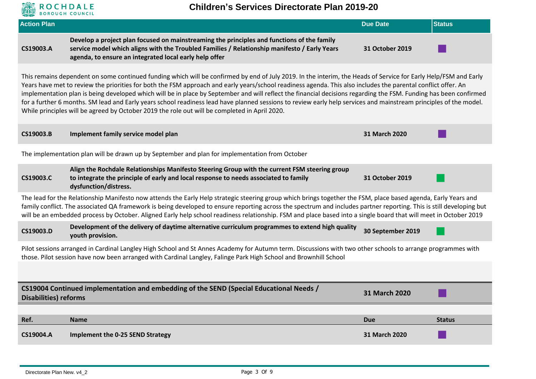

## **Children's Services Directorate Plan 2019-20**

| <b>Action Plan</b>                                                                                                                                                                                                                                                                                                                                                                                                                                                                                         |                                                                                                                                                                                                                                                                                                                                                                                                                                                                                                                                                                                                                                                                                                                                                                             | <b>Due Date</b>   | <b>Status</b> |  |
|------------------------------------------------------------------------------------------------------------------------------------------------------------------------------------------------------------------------------------------------------------------------------------------------------------------------------------------------------------------------------------------------------------------------------------------------------------------------------------------------------------|-----------------------------------------------------------------------------------------------------------------------------------------------------------------------------------------------------------------------------------------------------------------------------------------------------------------------------------------------------------------------------------------------------------------------------------------------------------------------------------------------------------------------------------------------------------------------------------------------------------------------------------------------------------------------------------------------------------------------------------------------------------------------------|-------------------|---------------|--|
| CS19003.A                                                                                                                                                                                                                                                                                                                                                                                                                                                                                                  | Develop a project plan focused on mainstreaming the principles and functions of the family<br>service model which aligns with the Troubled Families / Relationship manifesto / Early Years<br>agenda, to ensure an integrated local early help offer                                                                                                                                                                                                                                                                                                                                                                                                                                                                                                                        | 31 October 2019   |               |  |
|                                                                                                                                                                                                                                                                                                                                                                                                                                                                                                            | This remains dependent on some continued funding which will be confirmed by end of July 2019. In the interim, the Heads of Service for Early Help/FSM and Early<br>Years have met to review the priorities for both the FSM approach and early years/school readiness agenda. This also includes the parental conflict offer. An<br>implementation plan is being developed which will be in place by September and will reflect the financial decisions regarding the FSM. Funding has been confirmed<br>for a further 6 months. SM lead and Early years school readiness lead have planned sessions to review early help services and mainstream principles of the model.<br>While principles will be agreed by October 2019 the role out will be completed in April 2020. |                   |               |  |
| CS19003.B                                                                                                                                                                                                                                                                                                                                                                                                                                                                                                  | Implement family service model plan                                                                                                                                                                                                                                                                                                                                                                                                                                                                                                                                                                                                                                                                                                                                         | 31 March 2020     |               |  |
|                                                                                                                                                                                                                                                                                                                                                                                                                                                                                                            | The implementation plan will be drawn up by September and plan for implementation from October                                                                                                                                                                                                                                                                                                                                                                                                                                                                                                                                                                                                                                                                              |                   |               |  |
| CS19003.C                                                                                                                                                                                                                                                                                                                                                                                                                                                                                                  | Align the Rochdale Relationships Manifesto Steering Group with the current FSM steering group<br>to integrate the principle of early and local response to needs associated to family<br>dysfunction/distress.                                                                                                                                                                                                                                                                                                                                                                                                                                                                                                                                                              | 31 October 2019   |               |  |
| The lead for the Relationship Manifesto now attends the Early Help strategic steering group which brings together the FSM, place based agenda, Early Years and<br>family conflict. The associated QA framework is being developed to ensure reporting across the spectrum and includes partner reporting. This is still developing but<br>will be an embedded process by October. Aligned Early help school readiness relationship. FSM and place based into a single board that will meet in October 2019 |                                                                                                                                                                                                                                                                                                                                                                                                                                                                                                                                                                                                                                                                                                                                                                             |                   |               |  |
| CS19003.D                                                                                                                                                                                                                                                                                                                                                                                                                                                                                                  | Development of the delivery of daytime alternative curriculum programmes to extend high quality<br>youth provision.                                                                                                                                                                                                                                                                                                                                                                                                                                                                                                                                                                                                                                                         | 30 September 2019 |               |  |
|                                                                                                                                                                                                                                                                                                                                                                                                                                                                                                            | Pilot sessions arranged in Cardinal Langley High School and St Annes Academy for Autumn term. Discussions with two other schools to arrange programmes with<br>those. Pilot session have now been arranged with Cardinal Langley, Falinge Park High School and Brownhill School                                                                                                                                                                                                                                                                                                                                                                                                                                                                                             |                   |               |  |
|                                                                                                                                                                                                                                                                                                                                                                                                                                                                                                            |                                                                                                                                                                                                                                                                                                                                                                                                                                                                                                                                                                                                                                                                                                                                                                             |                   |               |  |
| CS19004 Continued implementation and embedding of the SEND (Special Educational Needs /<br>31 March 2020<br><b>Disabilities) reforms</b>                                                                                                                                                                                                                                                                                                                                                                   |                                                                                                                                                                                                                                                                                                                                                                                                                                                                                                                                                                                                                                                                                                                                                                             |                   |               |  |
| Ref.                                                                                                                                                                                                                                                                                                                                                                                                                                                                                                       | <b>Name</b>                                                                                                                                                                                                                                                                                                                                                                                                                                                                                                                                                                                                                                                                                                                                                                 | <b>Due</b>        | <b>Status</b> |  |
| CS19004.A                                                                                                                                                                                                                                                                                                                                                                                                                                                                                                  | <b>Implement the 0-25 SEND Strategy</b>                                                                                                                                                                                                                                                                                                                                                                                                                                                                                                                                                                                                                                                                                                                                     | 31 March 2020     |               |  |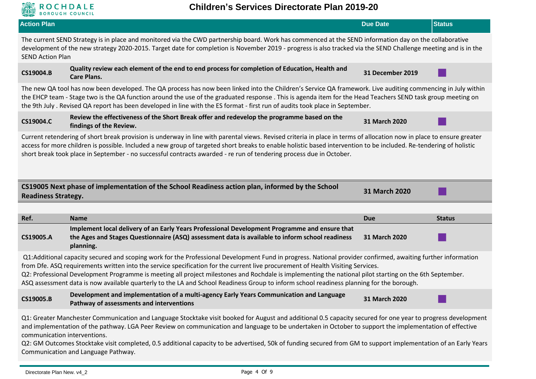

| <b>Action Plan</b>                                                                                                                                                                                                                                                                                                                                                                                                                                                 |                                                                                                                                                                                                                                                                                                                                                                                                                                                                                                                                                                                                        | <b>Due Date</b>             | <b>Status</b> |  |
|--------------------------------------------------------------------------------------------------------------------------------------------------------------------------------------------------------------------------------------------------------------------------------------------------------------------------------------------------------------------------------------------------------------------------------------------------------------------|--------------------------------------------------------------------------------------------------------------------------------------------------------------------------------------------------------------------------------------------------------------------------------------------------------------------------------------------------------------------------------------------------------------------------------------------------------------------------------------------------------------------------------------------------------------------------------------------------------|-----------------------------|---------------|--|
| The current SEND Strategy is in place and monitored via the CWD partnership board. Work has commenced at the SEND information day on the collaborative<br>development of the new strategy 2020-2015. Target date for completion is November 2019 - progress is also tracked via the SEND Challenge meeting and is in the<br><b>SEND Action Plan</b>                                                                                                                |                                                                                                                                                                                                                                                                                                                                                                                                                                                                                                                                                                                                        |                             |               |  |
| CS19004.B                                                                                                                                                                                                                                                                                                                                                                                                                                                          | Quality review each element of the end to end process for completion of Education, Health and<br><b>Care Plans.</b>                                                                                                                                                                                                                                                                                                                                                                                                                                                                                    | 31 December 2019            |               |  |
|                                                                                                                                                                                                                                                                                                                                                                                                                                                                    | The new QA tool has now been developed. The QA process has now been linked into the Children's Service QA framework. Live auditing commencing in July within<br>the EHCP team - Stage two is the QA function around the use of the graduated response. This is agenda item for the Head Teachers SEND task group meeting on<br>the 9th July. Revised QA report has been developed in line with the ES format - first run of audits took place in September.                                                                                                                                            |                             |               |  |
| CS19004.C                                                                                                                                                                                                                                                                                                                                                                                                                                                          | Review the effectiveness of the Short Break offer and redevelop the programme based on the<br>findings of the Review.                                                                                                                                                                                                                                                                                                                                                                                                                                                                                  | 31 March 2020               |               |  |
| Current retendering of short break provision is underway in line with parental views. Revised criteria in place in terms of allocation now in place to ensure greater<br>access for more children is possible. Included a new group of targeted short breaks to enable holistic based intervention to be included. Re-tendering of holistic<br>short break took place in September - no successful contracts awarded - re run of tendering process due in October. |                                                                                                                                                                                                                                                                                                                                                                                                                                                                                                                                                                                                        |                             |               |  |
|                                                                                                                                                                                                                                                                                                                                                                                                                                                                    |                                                                                                                                                                                                                                                                                                                                                                                                                                                                                                                                                                                                        |                             |               |  |
| <b>Readiness Strategy.</b>                                                                                                                                                                                                                                                                                                                                                                                                                                         | CS19005 Next phase of implementation of the School Readiness action plan, informed by the School                                                                                                                                                                                                                                                                                                                                                                                                                                                                                                       | 31 March 2020               |               |  |
|                                                                                                                                                                                                                                                                                                                                                                                                                                                                    |                                                                                                                                                                                                                                                                                                                                                                                                                                                                                                                                                                                                        |                             |               |  |
| Ref.<br>CS19005.A                                                                                                                                                                                                                                                                                                                                                                                                                                                  | <b>Name</b><br>Implement local delivery of an Early Years Professional Development Programme and ensure that<br>the Ages and Stages Questionnaire (ASQ) assessment data is available to inform school readiness<br>planning.                                                                                                                                                                                                                                                                                                                                                                           | <b>Due</b><br>31 March 2020 | <b>Status</b> |  |
|                                                                                                                                                                                                                                                                                                                                                                                                                                                                    | Q1:Additional capacity secured and scoping work for the Professional Development Fund in progress. National provider confirmed, awaiting further information<br>from Dfe. ASQ requirements written into the service specification for the current live procurement of Health Visiting Services.<br>Q2: Professional Development Programme is meeting all project milestones and Rochdale is implementing the national pilot starting on the 6th September.<br>ASQ assessment data is now available quarterly to the LA and School Readiness Group to inform school readiness planning for the borough. |                             |               |  |
| CS19005.B                                                                                                                                                                                                                                                                                                                                                                                                                                                          | Development and implementation of a multi-agency Early Years Communication and Language<br>Pathway of assessments and interventions                                                                                                                                                                                                                                                                                                                                                                                                                                                                    | 31 March 2020               |               |  |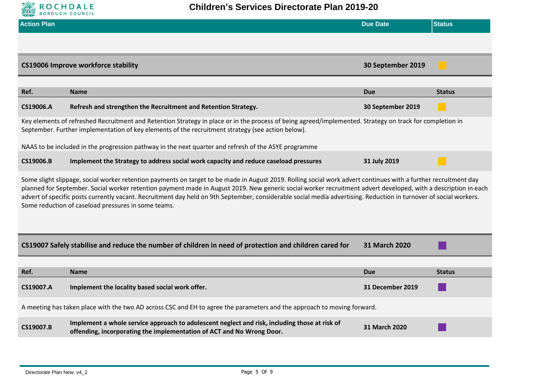

| <b>Action Plan</b>                                                                                                                                                                                                                                                                                                                                                                                                                                                                                                                                            |                                                                                                                                                                                                                                                               | <b>Due Date</b>      | <b>Status</b> |  |
|---------------------------------------------------------------------------------------------------------------------------------------------------------------------------------------------------------------------------------------------------------------------------------------------------------------------------------------------------------------------------------------------------------------------------------------------------------------------------------------------------------------------------------------------------------------|---------------------------------------------------------------------------------------------------------------------------------------------------------------------------------------------------------------------------------------------------------------|----------------------|---------------|--|
|                                                                                                                                                                                                                                                                                                                                                                                                                                                                                                                                                               |                                                                                                                                                                                                                                                               |                      |               |  |
|                                                                                                                                                                                                                                                                                                                                                                                                                                                                                                                                                               | <b>CS19006 Improve workforce stability</b>                                                                                                                                                                                                                    | 30 September 2019    |               |  |
| Ref.                                                                                                                                                                                                                                                                                                                                                                                                                                                                                                                                                          | <b>Name</b>                                                                                                                                                                                                                                                   | <b>Due</b>           | <b>Status</b> |  |
| CS19006.A                                                                                                                                                                                                                                                                                                                                                                                                                                                                                                                                                     | Refresh and strengthen the Recruitment and Retention Strategy.                                                                                                                                                                                                | 30 September 2019    |               |  |
|                                                                                                                                                                                                                                                                                                                                                                                                                                                                                                                                                               | Key elements of refreshed Recruitment and Retention Strategy in place or in the process of being agreed/implemented. Strategy on track for completion in<br>September. Further implementation of key elements of the recruitment strategy (see action below). |                      |               |  |
|                                                                                                                                                                                                                                                                                                                                                                                                                                                                                                                                                               | NAAS to be included in the progression pathway in the next quarter and refresh of the ASYE programme                                                                                                                                                          |                      |               |  |
| CS19006.B                                                                                                                                                                                                                                                                                                                                                                                                                                                                                                                                                     | Implement the Strategy to address social work capacity and reduce caseload pressures                                                                                                                                                                          | 31 July 2019         |               |  |
| Some slight slippage, social worker retention payments on target to be made in August 2019. Rolling social work advert continues with a further recruitment day<br>planned for September. Social worker retention payment made in August 2019. New generic social worker recruitment advert developed, with a description in each<br>advert of specific posts currently vacant. Recruitment day held on 9th September, considerable social media advertising. Reduction in turnover of social workers.<br>Some reduction of caseload pressures in some teams. |                                                                                                                                                                                                                                                               |                      |               |  |
|                                                                                                                                                                                                                                                                                                                                                                                                                                                                                                                                                               | CS19007 Safely stabilise and reduce the number of children in need of protection and children cared for                                                                                                                                                       | 31 March 2020        |               |  |
|                                                                                                                                                                                                                                                                                                                                                                                                                                                                                                                                                               |                                                                                                                                                                                                                                                               |                      |               |  |
| Ref.                                                                                                                                                                                                                                                                                                                                                                                                                                                                                                                                                          | <b>Name</b>                                                                                                                                                                                                                                                   | <b>Due</b>           | <b>Status</b> |  |
| CS19007.A                                                                                                                                                                                                                                                                                                                                                                                                                                                                                                                                                     | Implement the locality based social work offer.                                                                                                                                                                                                               | 31 December 2019     |               |  |
|                                                                                                                                                                                                                                                                                                                                                                                                                                                                                                                                                               | A meeting has taken place with the two AD across CSC and EH to agree the parameters and the approach to moving forward.                                                                                                                                       |                      |               |  |
| CS19007.B                                                                                                                                                                                                                                                                                                                                                                                                                                                                                                                                                     | Implement a whole service approach to adolescent neglect and risk, including those at risk of<br>offending, incorporating the implementation of ACT and No Wrong Door.                                                                                        | <b>31 March 2020</b> |               |  |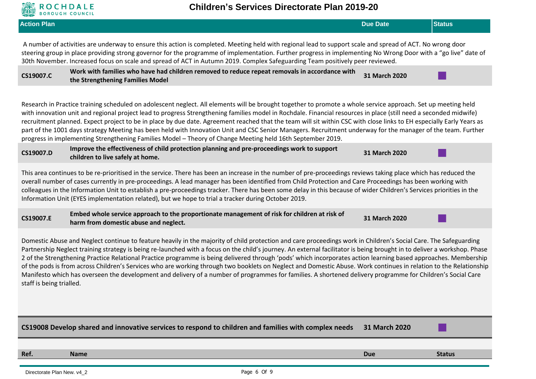

| <b>Action Plan</b>                                                                                                                                                                                                                                                                                                                                                                                                                                                                                                                                                                                                                                                                                                                                                                                                                                                              | <b>Due Date</b> | <b>Status</b> |  |
|---------------------------------------------------------------------------------------------------------------------------------------------------------------------------------------------------------------------------------------------------------------------------------------------------------------------------------------------------------------------------------------------------------------------------------------------------------------------------------------------------------------------------------------------------------------------------------------------------------------------------------------------------------------------------------------------------------------------------------------------------------------------------------------------------------------------------------------------------------------------------------|-----------------|---------------|--|
| A number of activities are underway to ensure this action is completed. Meeting held with regional lead to support scale and spread of ACT. No wrong door<br>steering group in place providing strong governor for the programme of implementation. Further progress in implementing No Wrong Door with a "go live" date of<br>30th November. Increased focus on scale and spread of ACT in Autumn 2019. Complex Safeguarding Team positively peer reviewed.                                                                                                                                                                                                                                                                                                                                                                                                                    |                 |               |  |
| Work with families who have had children removed to reduce repeat removals in accordance with<br>CS19007.C<br>the Strengthening Families Model                                                                                                                                                                                                                                                                                                                                                                                                                                                                                                                                                                                                                                                                                                                                  | 31 March 2020   |               |  |
| Research in Practice training scheduled on adolescent neglect. All elements will be brought together to promote a whole service approach. Set up meeting held<br>with innovation unit and regional project lead to progress Strengthening families model in Rochdale. Financial resources in place (still need a seconded midwife)<br>recruitment planned. Expect project to be in place by due date. Agreement reached that the team will sit within CSC with close links to EH especially Early Years as<br>part of the 1001 days strategy Meeting has been held with Innovation Unit and CSC Senior Managers. Recruitment underway for the manager of the team. Further<br>progress in implementing Strengthening Families Model - Theory of Change Meeting held 16th September 2019.                                                                                        |                 |               |  |
| Improve the effectiveness of child protection planning and pre-proceedings work to support<br>CS19007.D<br>children to live safely at home.                                                                                                                                                                                                                                                                                                                                                                                                                                                                                                                                                                                                                                                                                                                                     | 31 March 2020   |               |  |
| This area continues to be re-prioritised in the service. There has been an increase in the number of pre-proceedings reviews taking place which has reduced the<br>overall number of cases currently in pre-proceedings. A lead manager has been identified from Child Protection and Care Proceedings has been working with<br>colleagues in the Information Unit to establish a pre-proceedings tracker. There has been some delay in this because of wider Children's Services priorities in the<br>Information Unit (EYES implementation related), but we hope to trial a tracker during October 2019.                                                                                                                                                                                                                                                                      |                 |               |  |
| Embed whole service approach to the proportionate management of risk for children at risk of<br>CS19007.E<br>harm from domestic abuse and neglect.                                                                                                                                                                                                                                                                                                                                                                                                                                                                                                                                                                                                                                                                                                                              | 31 March 2020   |               |  |
| Domestic Abuse and Neglect continue to feature heavily in the majority of child protection and care proceedings work in Children's Social Care. The Safeguarding<br>Partnership Neglect training strategy is being re-launched with a focus on the child's journey. An external facilitator is being brought in to deliver a workshop. Phase<br>2 of the Strengthening Practice Relational Practice programme is being delivered through 'pods' which incorporates action learning based approaches. Membership<br>of the pods is from across Children's Services who are working through two booklets on Neglect and Domestic Abuse. Work continues in relation to the Relationship<br>Manifesto which has overseen the development and delivery of a number of programmes for families. A shortened delivery programme for Children's Social Care<br>staff is being trialled. |                 |               |  |
|                                                                                                                                                                                                                                                                                                                                                                                                                                                                                                                                                                                                                                                                                                                                                                                                                                                                                 |                 |               |  |
| CS19008 Develop shared and innovative services to respond to children and families with complex needs                                                                                                                                                                                                                                                                                                                                                                                                                                                                                                                                                                                                                                                                                                                                                                           | 31 March 2020   |               |  |
| Ref.<br><b>Name</b>                                                                                                                                                                                                                                                                                                                                                                                                                                                                                                                                                                                                                                                                                                                                                                                                                                                             | <b>Due</b>      | <b>Status</b> |  |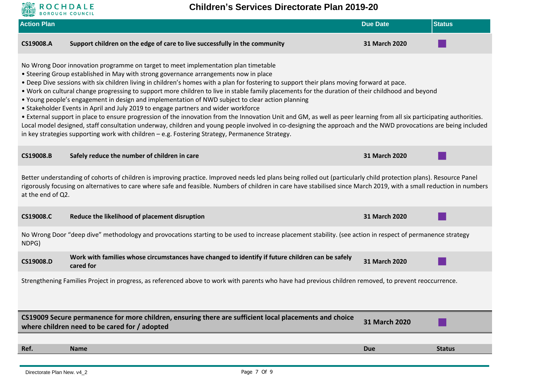

**Children's Services Directorate Plan 2019-20**

| <b>Action Plan</b> |                                                                                                                                                                                                                                                                                                                                                                                                                                                                                                                                                                                                                                                                                                                                                                                                                                                                                                                                                                                                                                                                                                                       | <b>Due Date</b> | <b>Status</b> |  |  |
|--------------------|-----------------------------------------------------------------------------------------------------------------------------------------------------------------------------------------------------------------------------------------------------------------------------------------------------------------------------------------------------------------------------------------------------------------------------------------------------------------------------------------------------------------------------------------------------------------------------------------------------------------------------------------------------------------------------------------------------------------------------------------------------------------------------------------------------------------------------------------------------------------------------------------------------------------------------------------------------------------------------------------------------------------------------------------------------------------------------------------------------------------------|-----------------|---------------|--|--|
| CS19008.A          | Support children on the edge of care to live successfully in the community                                                                                                                                                                                                                                                                                                                                                                                                                                                                                                                                                                                                                                                                                                                                                                                                                                                                                                                                                                                                                                            | 31 March 2020   |               |  |  |
|                    | No Wrong Door innovation programme on target to meet implementation plan timetable<br>• Steering Group established in May with strong governance arrangements now in place<br>. Deep Dive sessions with six children living in children's homes with a plan for fostering to support their plans moving forward at pace.<br>. Work on cultural change progressing to support more children to live in stable family placements for the duration of their childhood and beyond<br>• Young people's engagement in design and implementation of NWD subject to clear action planning<br>• Stakeholder Events in April and July 2019 to engage partners and wider workforce<br>• External support in place to ensure progression of the innovation from the Innovation Unit and GM, as well as peer learning from all six participating authorities.<br>Local model designed, staff consultation underway, children and young people involved in co-designing the approach and the NWD provocations are being included<br>in key strategies supporting work with children - e.g. Fostering Strategy, Permanence Strategy. |                 |               |  |  |
| CS19008.B          | Safely reduce the number of children in care                                                                                                                                                                                                                                                                                                                                                                                                                                                                                                                                                                                                                                                                                                                                                                                                                                                                                                                                                                                                                                                                          | 31 March 2020   |               |  |  |
| at the end of Q2.  | Better understanding of cohorts of children is improving practice. Improved needs led plans being rolled out (particularly child protection plans). Resource Panel<br>rigorously focusing on alternatives to care where safe and feasible. Numbers of children in care have stabilised since March 2019, with a small reduction in numbers                                                                                                                                                                                                                                                                                                                                                                                                                                                                                                                                                                                                                                                                                                                                                                            |                 |               |  |  |
| CS19008.C          | Reduce the likelihood of placement disruption                                                                                                                                                                                                                                                                                                                                                                                                                                                                                                                                                                                                                                                                                                                                                                                                                                                                                                                                                                                                                                                                         | 31 March 2020   |               |  |  |
| NDPG)              | No Wrong Door "deep dive" methodology and provocations starting to be used to increase placement stability. (see action in respect of permanence strategy                                                                                                                                                                                                                                                                                                                                                                                                                                                                                                                                                                                                                                                                                                                                                                                                                                                                                                                                                             |                 |               |  |  |
| CS19008.D          | Work with families whose circumstances have changed to identify if future children can be safely<br>cared for                                                                                                                                                                                                                                                                                                                                                                                                                                                                                                                                                                                                                                                                                                                                                                                                                                                                                                                                                                                                         | 31 March 2020   |               |  |  |
|                    | Strengthening Families Project in progress, as referenced above to work with parents who have had previous children removed, to prevent reoccurrence.                                                                                                                                                                                                                                                                                                                                                                                                                                                                                                                                                                                                                                                                                                                                                                                                                                                                                                                                                                 |                 |               |  |  |
|                    | CS19009 Secure permanence for more children, ensuring there are sufficient local placements and choice<br>where children need to be cared for / adopted                                                                                                                                                                                                                                                                                                                                                                                                                                                                                                                                                                                                                                                                                                                                                                                                                                                                                                                                                               | 31 March 2020   |               |  |  |
| Ref.               | <b>Name</b>                                                                                                                                                                                                                                                                                                                                                                                                                                                                                                                                                                                                                                                                                                                                                                                                                                                                                                                                                                                                                                                                                                           | <b>Due</b>      | <b>Status</b> |  |  |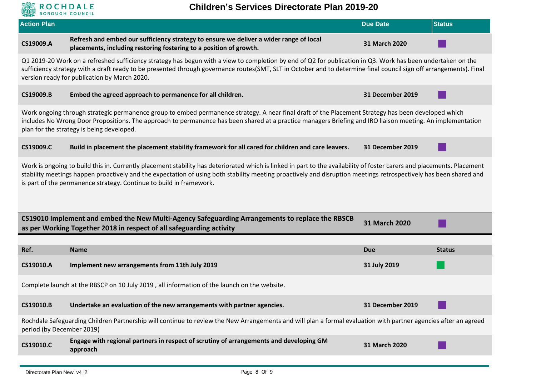

## **Children's Services Directorate Plan 2019-20**

| <b>Action Plan</b>                                                                                                                                                                                                                                                                                                                                                                                                  |                                                                                                                                                                                                                                                                                                                                                                                   | <b>Due Date</b>  | <b>Status</b> |
|---------------------------------------------------------------------------------------------------------------------------------------------------------------------------------------------------------------------------------------------------------------------------------------------------------------------------------------------------------------------------------------------------------------------|-----------------------------------------------------------------------------------------------------------------------------------------------------------------------------------------------------------------------------------------------------------------------------------------------------------------------------------------------------------------------------------|------------------|---------------|
| CS19009.A                                                                                                                                                                                                                                                                                                                                                                                                           | Refresh and embed our sufficiency strategy to ensure we deliver a wider range of local<br>placements, including restoring fostering to a position of growth.                                                                                                                                                                                                                      | 31 March 2020    |               |
|                                                                                                                                                                                                                                                                                                                                                                                                                     | Q1 2019-20 Work on a refreshed sufficiency strategy has begun with a view to completion by end of Q2 for publication in Q3. Work has been undertaken on the<br>sufficiency strategy with a draft ready to be presented through governance routes(SMT, SLT in October and to determine final council sign off arrangements). Final<br>version ready for publication by March 2020. |                  |               |
| CS19009.B                                                                                                                                                                                                                                                                                                                                                                                                           | Embed the agreed approach to permanence for all children.                                                                                                                                                                                                                                                                                                                         | 31 December 2019 |               |
|                                                                                                                                                                                                                                                                                                                                                                                                                     | Work ongoing through strategic permanence group to embed permanence strategy. A near final draft of the Placement Strategy has been developed which<br>includes No Wrong Door Propositions. The approach to permanence has been shared at a practice managers Briefing and IRO liaison meeting. An implementation<br>plan for the strategy is being developed.                    |                  |               |
| CS19009.C                                                                                                                                                                                                                                                                                                                                                                                                           | Build in placement the placement stability framework for all cared for children and care leavers.                                                                                                                                                                                                                                                                                 | 31 December 2019 |               |
| Work is ongoing to build this in. Currently placement stability has deteriorated which is linked in part to the availability of foster carers and placements. Placement<br>stability meetings happen proactively and the expectation of using both stability meeting proactively and disruption meetings retrospectively has been shared and<br>is part of the permanence strategy. Continue to build in framework. |                                                                                                                                                                                                                                                                                                                                                                                   |                  |               |
|                                                                                                                                                                                                                                                                                                                                                                                                                     | CS19010 Implement and embed the New Multi-Agency Safeguarding Arrangements to replace the RBSCB<br>as per Working Together 2018 in respect of all safeguarding activity                                                                                                                                                                                                           | 31 March 2020    |               |
|                                                                                                                                                                                                                                                                                                                                                                                                                     |                                                                                                                                                                                                                                                                                                                                                                                   |                  |               |
| Ref.                                                                                                                                                                                                                                                                                                                                                                                                                | <b>Name</b>                                                                                                                                                                                                                                                                                                                                                                       | <b>Due</b>       | <b>Status</b> |
| CS19010.A                                                                                                                                                                                                                                                                                                                                                                                                           | Implement new arrangements from 11th July 2019                                                                                                                                                                                                                                                                                                                                    | 31 July 2019     |               |
| Complete launch at the RBSCP on 10 July 2019, all information of the launch on the website.                                                                                                                                                                                                                                                                                                                         |                                                                                                                                                                                                                                                                                                                                                                                   |                  |               |
| CS19010.B                                                                                                                                                                                                                                                                                                                                                                                                           | Undertake an evaluation of the new arrangements with partner agencies.                                                                                                                                                                                                                                                                                                            | 31 December 2019 |               |
| period (by December 2019)                                                                                                                                                                                                                                                                                                                                                                                           | Rochdale Safeguarding Children Partnership will continue to review the New Arrangements and will plan a formal evaluation with partner agencies after an agreed                                                                                                                                                                                                                   |                  |               |
| CS19010.C                                                                                                                                                                                                                                                                                                                                                                                                           | Engage with regional partners in respect of scrutiny of arrangements and developing GM<br>approach                                                                                                                                                                                                                                                                                | 31 March 2020    |               |